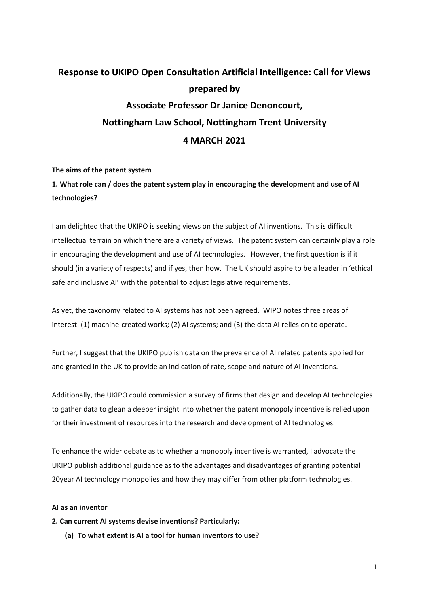# Response to UKIPO Open Consultation Artificial Intelligence: Call for Views prepared by Associate Professor Dr Janice Denoncourt, Nottingham Law School, Nottingham Trent University 4 MARCH 2021

### The aims of the patent system

# 1. What role can / does the patent system play in encouraging the development and use of AI technologies?

I am delighted that the UKIPO is seeking views on the subject of AI inventions. This is difficult intellectual terrain on which there are a variety of views. The patent system can certainly play a role in encouraging the development and use of AI technologies. However, the first question is if it should (in a variety of respects) and if yes, then how. The UK should aspire to be a leader in 'ethical safe and inclusive AI' with the potential to adjust legislative requirements.

As yet, the taxonomy related to AI systems has not been agreed. WIPO notes three areas of interest: (1) machine-created works; (2) AI systems; and (3) the data AI relies on to operate.

Further, I suggest that the UKIPO publish data on the prevalence of AI related patents applied for and granted in the UK to provide an indication of rate, scope and nature of AI inventions.

Additionally, the UKIPO could commission a survey of firms that design and develop AI technologies to gather data to glean a deeper insight into whether the patent monopoly incentive is relied upon for their investment of resources into the research and development of AI technologies.

To enhance the wider debate as to whether a monopoly incentive is warranted, I advocate the UKIPO publish additional guidance as to the advantages and disadvantages of granting potential 20year AI technology monopolies and how they may differ from other platform technologies.

#### AI as an inventor

### 2. Can current AI systems devise inventions? Particularly:

(a) To what extent is AI a tool for human inventors to use?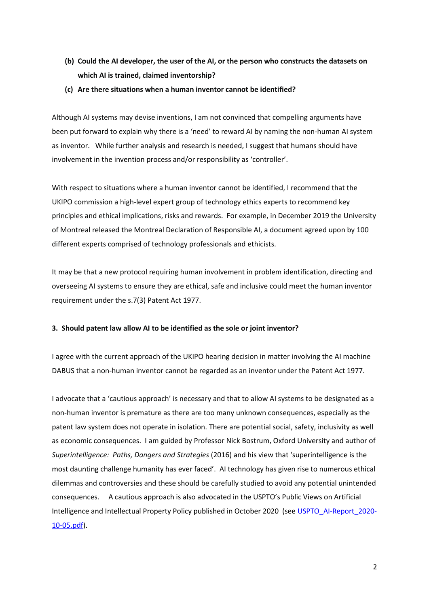- (b) Could the AI developer, the user of the AI, or the person who constructs the datasets on which AI is trained, claimed inventorship?
- (c) Are there situations when a human inventor cannot be identified?

Although AI systems may devise inventions, I am not convinced that compelling arguments have been put forward to explain why there is a 'need' to reward AI by naming the non-human AI system as inventor. While further analysis and research is needed, I suggest that humans should have involvement in the invention process and/or responsibility as 'controller'.

With respect to situations where a human inventor cannot be identified, I recommend that the UKIPO commission a high-level expert group of technology ethics experts to recommend key principles and ethical implications, risks and rewards. For example, in December 2019 the University of Montreal released the Montreal Declaration of Responsible AI, a document agreed upon by 100 different experts comprised of technology professionals and ethicists.

It may be that a new protocol requiring human involvement in problem identification, directing and overseeing AI systems to ensure they are ethical, safe and inclusive could meet the human inventor requirement under the s.7(3) Patent Act 1977.

### 3. Should patent law allow AI to be identified as the sole or joint inventor?

I agree with the current approach of the UKIPO hearing decision in matter involving the AI machine DABUS that a non-human inventor cannot be regarded as an inventor under the Patent Act 1977.

I advocate that a 'cautious approach' is necessary and that to allow AI systems to be designated as a non-human inventor is premature as there are too many unknown consequences, especially as the patent law system does not operate in isolation. There are potential social, safety, inclusivity as well as economic consequences. I am guided by Professor Nick Bostrum, Oxford University and author of Superintelligence: Paths, Dangers and Strategies (2016) and his view that 'superintelligence is the most daunting challenge humanity has ever faced'. AI technology has given rise to numerous ethical dilemmas and controversies and these should be carefully studied to avoid any potential unintended consequences. A cautious approach is also advocated in the USPTO's Public Views on Artificial Intelligence and Intellectual Property Policy published in October 2020 (see USPTO\_AI-Report\_2020- 10-05.pdf).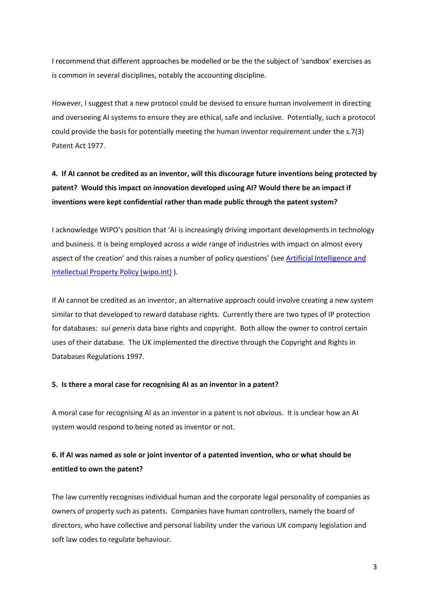I recommend that different approaches be modelled or be the the subject of 'sandbox' exercises as is common in several disciplines, notably the accounting discipline.

However, I suggest that a new protocol could be devised to ensure human involvement in directing and overseeing AI systems to ensure they are ethical, safe and inclusive. Potentially, such a protocol could provide the basis for potentially meeting the human inventor requirement under the s.7(3) Patent Act 1977.

# 4. If AI cannot be credited as an inventor, will this discourage future inventions being protected by patent? Would this impact on innovation developed using AI? Would there be an impact if inventions were kept confidential rather than made public through the patent system?

I acknowledge WIPO's position that 'AI is increasingly driving important developments in technology and business. It is being employed across a wide range of industries with impact on almost every aspect of the creation' and this raises a number of policy questions' (see Artificial Intelligence and Intellectual Property Policy (wipo.int) ).

If AI cannot be credited as an inventor, an alternative approach could involve creating a new system similar to that developed to reward database rights. Currently there are two types of IP protection for databases: *sui generis* data base rights and copyright. Both allow the owner to control certain uses of their database. The UK implemented the directive through the Copyright and Rights in Databases Regulations 1997.

#### 5. Is there a moral case for recognising AI as an inventor in a patent?

A moral case for recognising AI as an inventor in a patent is not obvious. It is unclear how an AI system would respond to being noted as inventor or not.

## 6. If AI was named as sole or joint inventor of a patented invention, who or what should be entitled to own the patent?

The law currently recognises individual human and the corporate legal personality of companies as owners of property such as patents. Companies have human controllers, namely the board of directors, who have collective and personal liability under the various UK company legislation and soft law codes to regulate behaviour.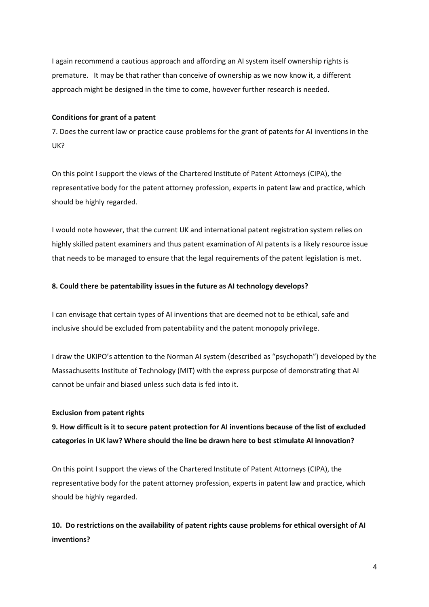I again recommend a cautious approach and affording an AI system itself ownership rights is premature. It may be that rather than conceive of ownership as we now know it, a different approach might be designed in the time to come, however further research is needed.

#### Conditions for grant of a patent

7. Does the current law or practice cause problems for the grant of patents for AI inventions in the UK?

On this point I support the views of the Chartered Institute of Patent Attorneys (CIPA), the representative body for the patent attorney profession, experts in patent law and practice, which should be highly regarded.

I would note however, that the current UK and international patent registration system relies on highly skilled patent examiners and thus patent examination of AI patents is a likely resource issue that needs to be managed to ensure that the legal requirements of the patent legislation is met.

#### 8. Could there be patentability issues in the future as AI technology develops?

I can envisage that certain types of AI inventions that are deemed not to be ethical, safe and inclusive should be excluded from patentability and the patent monopoly privilege.

I draw the UKIPO's attention to the Norman AI system (described as "psychopath") developed by the Massachusetts Institute of Technology (MIT) with the express purpose of demonstrating that AI cannot be unfair and biased unless such data is fed into it.

#### Exclusion from patent rights

9. How difficult is it to secure patent protection for AI inventions because of the list of excluded categories in UK law? Where should the line be drawn here to best stimulate AI innovation?

On this point I support the views of the Chartered Institute of Patent Attorneys (CIPA), the representative body for the patent attorney profession, experts in patent law and practice, which should be highly regarded.

10. Do restrictions on the availability of patent rights cause problems for ethical oversight of AI inventions?